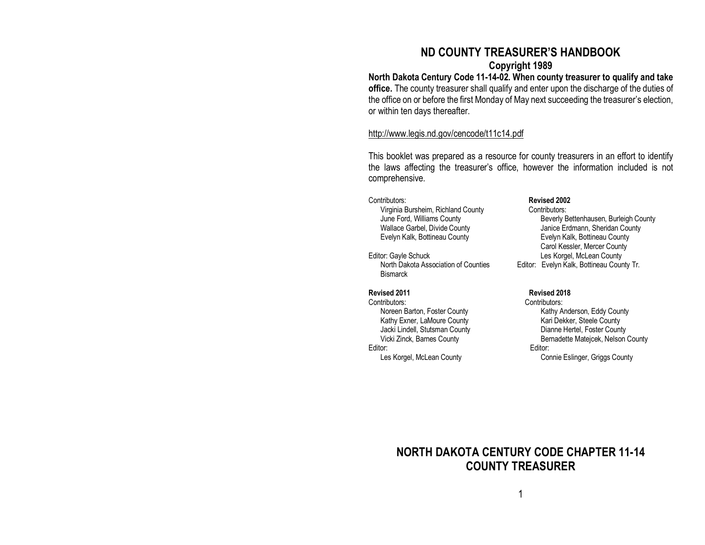# **ND COUNTY TREASURER'S HANDBOOK**

## **Copyright 1989**

**North Dakota Century Code 11-14-02. When county treasurer to qualify and take office.** The county treasurer shall qualify and enter upon the discharge of the duties of the office on or before the first Monday of May next succeeding the treasurer's election, or within ten days thereafter.

### <http://www.legis.nd.gov/cencode/t11c14.pdf>

This booklet was prepared as a resource for county treasurers in an effort to identify the laws affecting the treasurer's office, however the information included is not comprehensive.

# Contributors: **Revised 2002** Virginia Bursheim, Richland County<br>June Ford, Williams County

Editor: Gayle Schuck<br>North Dakota Association of Counties<br>Editor: Evelyn Kalk. Bottineau Cour **Bismarck** 

Contributors: Contributors: Jacki Lindell, Stutsman County Editor: Editor:

Beverly Bettenhausen, Burleigh County Wallace Garbel, Divide County **Vallace County** Janice Erdmann, Sheridan County Evelyn Kalk, Bottineau County Evelyn Kalk, Bottineau County Carol Kessler, Mercer County Editor: Evelyn Kalk, Bottineau County Tr.

#### **Revised 2011 Revised 2018**

Noreen Barton, Foster County Kathy Anderson, Eddy County Kathy Exner, LaMoure County<br>
Jacki Lindell, Stutsman County<br>
Dianne Hertel, Foster County Vicki Zinck, Barnes County **Bernadette Matejcek, Nelson County** Bernadette Matejcek, Nelson County Les Korgel, McLean County **Connie Eslinger**, Griggs County

# **NORTH DAKOTA CENTURY CODE CHAPTER 11-14 COUNTY TREASURER**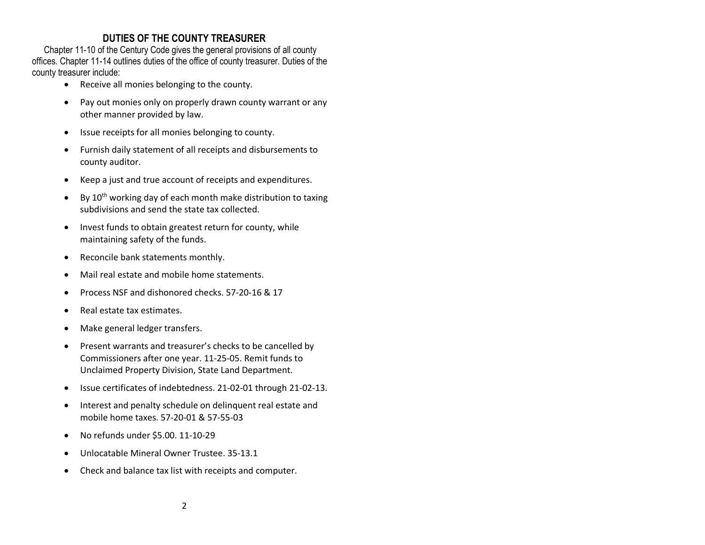# **DUTIES OF THE COUNTY TREASURER**

Chapter 11-10 of the Century Code gives the general provisions of all county offices. Chapter 11-14 outlines duties of the office of county treasurer. Duties of the county treasurer include:

- Receive all monies belonging to the county.
- Pay out monies only on properly drawn county warrant or any other manner provided by law.
- Issue receipts for all monies belonging to county.
- Furnish daily statement of all receipts and disbursements to county auditor.
- Keep a just and true account of receipts and expenditures.
- By  $10^{th}$  working day of each month make distribution to taxing subdivisions and send the state tax collected.
- Invest funds to obtain greatest return for county, while maintaining safety of the funds.
- Reconcile bank statements monthly.
- Mail real estate and mobile home statements.
- Process NSF and dishonored checks. 57-20-16 & 17
- Real estate tax estimates.
- Make general ledger transfers.
- Present warrants and treasurer's checks to be cancelled by Commissioners after one year. 11-25-05. Remit funds to Unclaimed Property Division, State Land Department.
- Issue certificates of indebtedness. 21-02-01 through 21-02-13.
- Interest and penalty schedule on delinquent real estate and mobile home taxes. 57-20-01 & 57-55-03
- No refunds under \$5.00. 11-10-29
- Unlocatable Mineral Owner Trustee. 35-13.1
- Check and balance tax list with receipts and computer.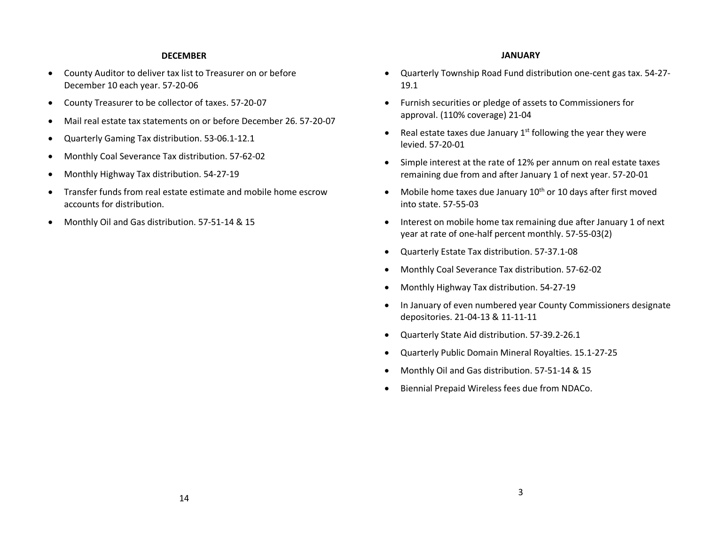#### **DECEMBER**

- County Auditor to deliver tax list to Treasurer on or before December 10 each year. 57-20-06
- County Treasurer to be collector of taxes. 57-20-07
- Mail real estate tax statements on or before December 26. 57-20-07
- Quarterly Gaming Tax distribution. 53-06.1-12.1
- Monthly Coal Severance Tax distribution. 57-62-02
- Monthly Highway Tax distribution. 54-27-19
- Transfer funds from real estate estimate and mobile home escrow accounts for distribution.
- Monthly Oil and Gas distribution. 57-51-14 & 15

#### **JANUARY**

- Quarterly Township Road Fund distribution one-cent gas tax. 54-27- 19.1
- Furnish securities or pledge of assets to Commissioners for approval. (110% coverage) 21-04
- Real estate taxes due January  $1<sup>st</sup>$  following the year they were levied. 57-20-01
- Simple interest at the rate of 12% per annum on real estate taxes remaining due from and after January 1 of next year. 57-20-01
- Mobile home taxes due January  $10^{th}$  or 10 days after first moved into state. 57-55-03
- Interest on mobile home tax remaining due after January 1 of next year at rate of one-half percent monthly. 57-55-03(2)
- Quarterly Estate Tax distribution. 57-37.1-08
- Monthly Coal Severance Tax distribution. 57-62-02
- Monthly Highway Tax distribution. 54-27-19
- In January of even numbered year County Commissioners designate depositories. 21-04-13 & 11-11-11
- Quarterly State Aid distribution. 57-39.2-26.1
- Quarterly Public Domain Mineral Royalties. 15.1-27-25
- Monthly Oil and Gas distribution. 57-51-14 & 15
- Biennial Prepaid Wireless fees due from NDACo.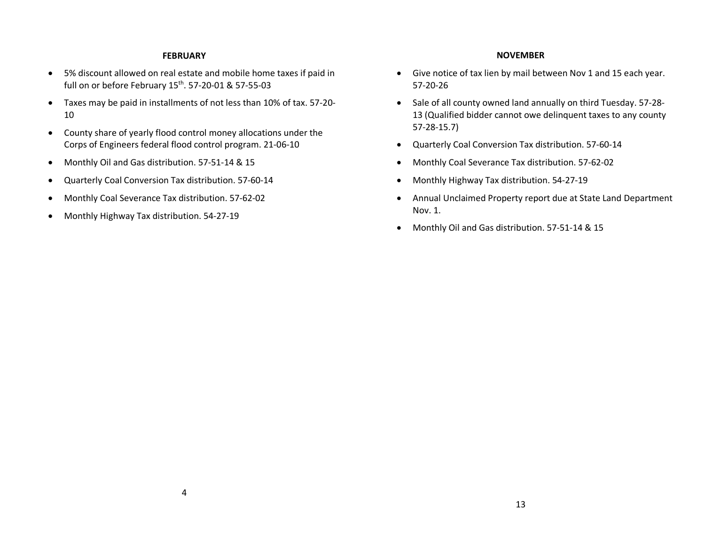#### **FEBRUARY**

- 5% discount allowed on real estate and mobile home taxes if paid in full on or before February 15<sup>th</sup>. 57-20-01 & 57-55-03
- Taxes may be paid in installments of not less than 10% of tax. 57-20- 10
- County share of yearly flood control money allocations under the Corps of Engineers federal flood control program. 21-06-10
- Monthly Oil and Gas distribution. 57-51-14 & 15
- Quarterly Coal Conversion Tax distribution. 57-60-14
- Monthly Coal Severance Tax distribution. 57-62-02
- Monthly Highway Tax distribution. 54-27-19

### **NOVEMBER**

- Give notice of tax lien by mail between Nov 1 and 15 each year. 57-20-26
- Sale of all county owned land annually on third Tuesday. 57-28- 13 (Qualified bidder cannot owe delinquent taxes to any county 57-28-15.7)
- Quarterly Coal Conversion Tax distribution. 57-60-14
- Monthly Coal Severance Tax distribution. 57-62-02
- Monthly Highway Tax distribution. 54-27-19
- Annual Unclaimed Property report due at State Land Department Nov. 1.
- Monthly Oil and Gas distribution. 57-51-14 & 15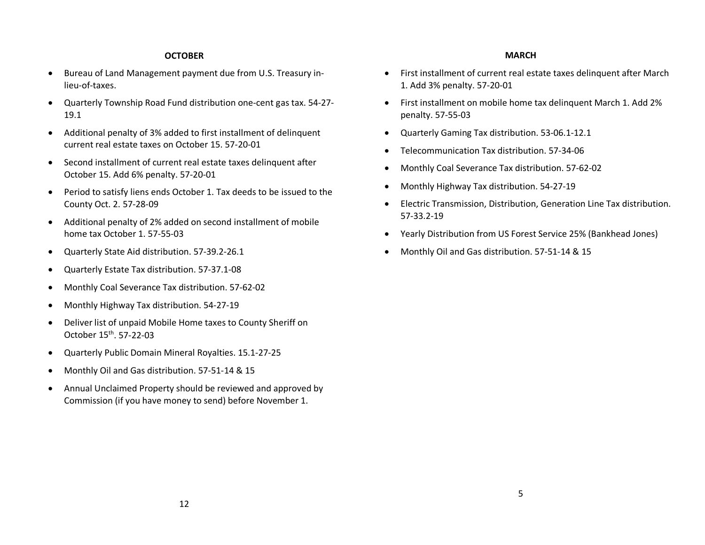### **OCTOBER**

- Bureau of Land Management payment due from U.S. Treasury inlieu-of-taxes.
- Quarterly Township Road Fund distribution one-cent gas tax. 54-27- 19.1
- Additional penalty of 3% added to first installment of delinquent current real estate taxes on October 15. 57-20-01
- Second installment of current real estate taxes delinquent after October 15. Add 6% penalty. 57-20-01
- Period to satisfy liens ends October 1. Tax deeds to be issued to the County Oct. 2. 57-28-09
- Additional penalty of 2% added on second installment of mobile home tax October 1. 57-55-03
- Quarterly State Aid distribution. 57-39.2-26.1
- Quarterly Estate Tax distribution. 57-37.1-08
- Monthly Coal Severance Tax distribution. 57-62-02
- Monthly Highway Tax distribution. 54-27-19
- Deliver list of unpaid Mobile Home taxes to County Sheriff on October 15th. 57-22-03
- Quarterly Public Domain Mineral Royalties. 15.1-27-25
- Monthly Oil and Gas distribution. 57-51-14 & 15
- Annual Unclaimed Property should be reviewed and approved by Commission (if you have money to send) before November 1.

#### **MARCH**

- First installment of current real estate taxes delinquent after March 1. Add 3% penalty. 57-20-01
- First installment on mobile home tax delinquent March 1. Add 2% penalty. 57-55-03
- Quarterly Gaming Tax distribution. 53-06.1-12.1
- Telecommunication Tax distribution. 57-34-06
- Monthly Coal Severance Tax distribution. 57-62-02
- Monthly Highway Tax distribution. 54-27-19
- Electric Transmission, Distribution, Generation Line Tax distribution. 57-33.2-19
- Yearly Distribution from US Forest Service 25% (Bankhead Jones)
- Monthly Oil and Gas distribution. 57-51-14 & 15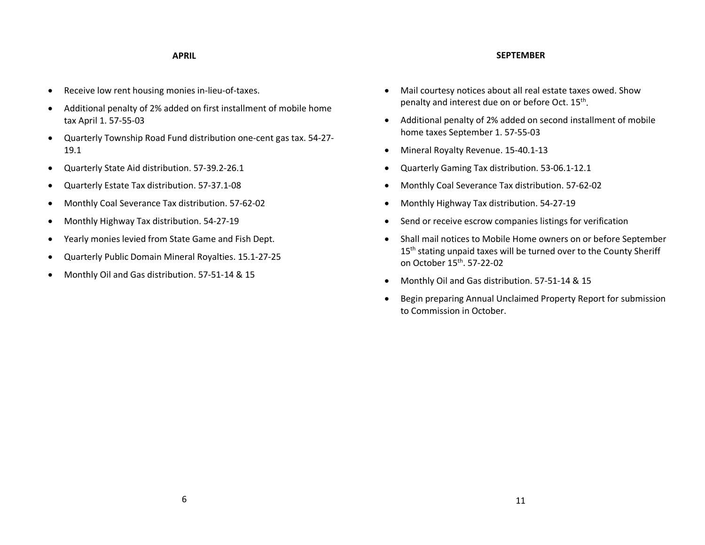#### **SEPTEMBER**

#### **APRIL**

- Receive low rent housing monies in-lieu-of-taxes.
- Additional penalty of 2% added on first installment of mobile home tax April 1. 57-55-03
- Quarterly Township Road Fund distribution one-cent gas tax. 54-27- 19.1
- Quarterly State Aid distribution. 57-39.2-26.1
- Quarterly Estate Tax distribution. 57-37.1-08
- Monthly Coal Severance Tax distribution. 57-62-02
- Monthly Highway Tax distribution. 54-27-19
- Yearly monies levied from State Game and Fish Dept.
- Quarterly Public Domain Mineral Royalties. 15.1-27-25
- Monthly Oil and Gas distribution. 57-51-14 & 15
- Mail courtesy notices about all real estate taxes owed. Show penalty and interest due on or before Oct. 15<sup>th</sup>.
- Additional penalty of 2% added on second installment of mobile home taxes September 1. 57-55-03
- Mineral Royalty Revenue. 15-40.1-13
- Quarterly Gaming Tax distribution. 53-06.1-12.1
- Monthly Coal Severance Tax distribution. 57-62-02
- Monthly Highway Tax distribution. 54-27-19
- Send or receive escrow companies listings for verification
- Shall mail notices to Mobile Home owners on or before September 15<sup>th</sup> stating unpaid taxes will be turned over to the County Sheriff on October 15<sup>th</sup>. 57-22-02
- Monthly Oil and Gas distribution. 57-51-14 & 15
- Begin preparing Annual Unclaimed Property Report for submission to Commission in October.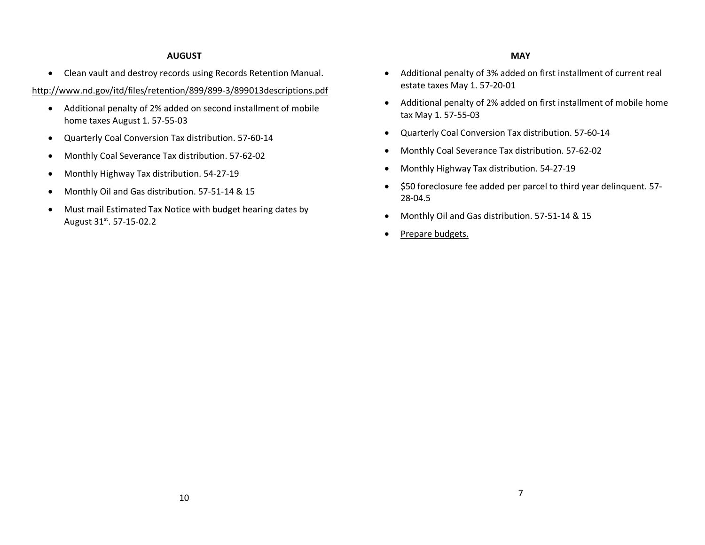### **AUGUST**

• Clean vault and destroy records using Records Retention Manual.

<http://www.nd.gov/itd/files/retention/899/899-3/899013descriptions.pdf>

- Additional penalty of 2% added on second installment of mobile home taxes August 1. 57-55-03
- Quarterly Coal Conversion Tax distribution. 57-60-14
- Monthly Coal Severance Tax distribution. 57-62-02
- Monthly Highway Tax distribution. 54-27-19
- Monthly Oil and Gas distribution. 57-51-14 & 15
- Must mail Estimated Tax Notice with budget hearing dates by August 31st. 57-15-02.2
- Additional penalty of 3% added on first installment of current real estate taxes May 1. 57-20-01
- Additional penalty of 2% added on first installment of mobile home tax May 1. 57-55-03
- Quarterly Coal Conversion Tax distribution. 57-60-14
- Monthly Coal Severance Tax distribution. 57-62-02
- Monthly Highway Tax distribution. 54-27-19
- \$50 foreclosure fee added per parcel to third year delinquent. 57- 28-04.5
- Monthly Oil and Gas distribution. 57-51-14 & 15
- Prepare budgets.